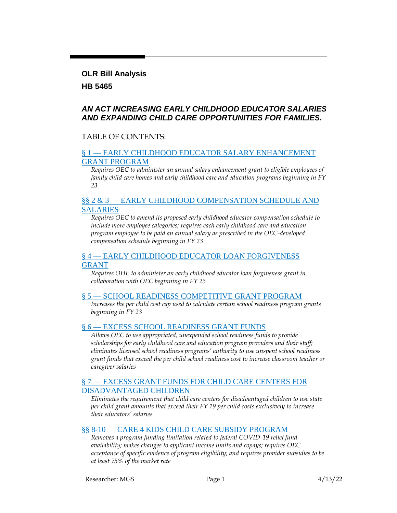#### **OLR Bill Analysis**

### **HB 5465**

### *AN ACT INCREASING EARLY CHILDHOOD EDUCATOR SALARIES AND EXPANDING CHILD CARE OPPORTUNITIES FOR FAMILIES.*

### TABLE OF CONTENTS:

#### § 1 — [EARLY CHILDHOOD EDUCATOR SALARY ENHANCEMENT](#page-1-0)  [GRANT PROGRAM](#page-1-0)

*Requires OEC to administer an annual salary enhancement grant to eligible employees of family child care homes and early childhood care and education programs beginning in FY 23*

### §§ 2 & 3 — EARLY CHILDHOOD COMPENSATION SCHEDULE AND [SALARIES](#page-3-0)

*Requires OEC to amend its proposed early childhood educator compensation schedule to include more employee categories; requires each early childhood care and education program employee to be paid an annual salary as prescribed in the OEC-developed compensation schedule beginning in FY 23*

### § 4 — [EARLY CHILDHOOD EDUCATOR LOAN FORGIVENESS](#page-4-0)  [GRANT](#page-4-0)

*Requires OHE to administer an early childhood educator loan forgiveness grant in collaboration with OEC beginning in FY 23*

### § 5 — [SCHOOL READINESS COMPETITIVE GRANT PROGRAM](#page-5-0)

*Increases the per child cost cap used to calculate certain school readiness program grants beginning in FY 23*

### § 6 — [EXCESS SCHOOL READINESS GRANT FUNDS](#page-6-0)

*Allows OEC to use appropriated, unexpended school readiness funds to provide scholarships for early childhood care and education program providers and their staff; eliminates licensed school readiness programs' authority to use unspent school readiness grant funds that exceed the per child school readiness cost to increase classroom teacher or caregiver salaries*

#### § 7 — [EXCESS GRANT FUNDS FOR CHILD CARE CENTERS FOR](#page-7-0)  [DISADVANTAGED CHILDREN](#page-7-0)

*Eliminates the requirement that child care centers for disadvantaged children to use state per child grant amounts that exceed their FY 19 per child costs exclusively to increase their educators' salaries*

### §§ 8-10 — [CARE 4 KIDS CHILD CARE SUBSIDY PROGRAM](#page-7-1)

*Removes a program funding limitation related to federal COVID-19 relief fund availability; makes changes to applicant income limits and copays; requires OEC acceptance of specific evidence of program eligibility; and requires provider subsidies to be at least 75% of the market rate*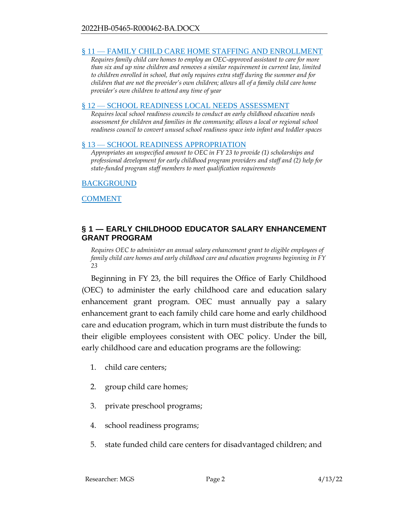### § 11 — [FAMILY CHILD CARE HOME STAFFING AND ENROLLMENT](#page-10-0)

*Requires family child care homes to employ an OEC-approved assistant to care for more than six and up nine children and removes a similar requirement in current law, limited to children enrolled in school, that only requires extra staff during the summer and for children that are not the provider's own children; allows all of a family child care home provider's own children to attend any time of year*

#### § 12 — [SCHOOL READINESS LOCAL NEEDS ASSESSMENT](#page-11-0)

*Requires local school readiness councils to conduct an early childhood education needs assessment for children and families in the community; allows a local or regional school readiness council to convert unused school readiness space into infant and toddler spaces*

#### § 13 — [SCHOOL READINESS APPROPRIATION](#page-11-1)

*Appropriates an unspecified amount to OEC in FY 23 to provide (1) scholarships and professional development for early childhood program providers and staff and (2) help for state-funded program staff members to meet qualification requirements*

### [BACKGROUND](#page-12-0)

**[COMMENT](#page-13-0)** 

### <span id="page-1-0"></span>**§ 1 — EARLY CHILDHOOD EDUCATOR SALARY ENHANCEMENT GRANT PROGRAM**

*Requires OEC to administer an annual salary enhancement grant to eligible employees of family child care homes and early childhood care and education programs beginning in FY 23*

Beginning in FY 23, the bill requires the Office of Early Childhood (OEC) to administer the early childhood care and education salary enhancement grant program. OEC must annually pay a salary enhancement grant to each family child care home and early childhood care and education program, which in turn must distribute the funds to their eligible employees consistent with OEC policy. Under the bill, early childhood care and education programs are the following:

- 1. child care centers;
- 2. group child care homes;
- 3. private preschool programs;
- 4. school readiness programs;
- 5. state funded child care centers for disadvantaged children; and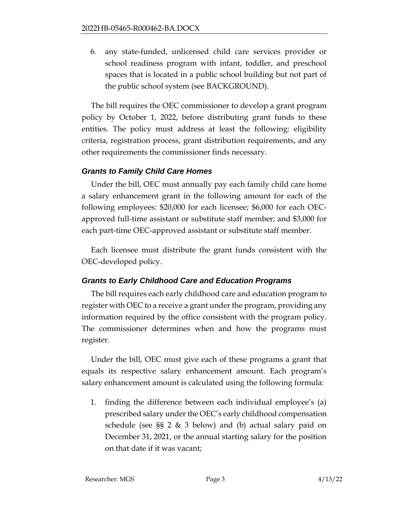6. any state-funded, unlicensed child care services provider or school readiness program with infant, toddler, and preschool spaces that is located in a public school building but not part of the public school system (see BACKGROUND).

The bill requires the OEC commissioner to develop a grant program policy by October 1, 2022, before distributing grant funds to these entities. The policy must address at least the following: eligibility criteria, registration process, grant distribution requirements, and any other requirements the commissioner finds necessary.

## *Grants to Family Child Care Homes*

Under the bill, OEC must annually pay each family child care home a salary enhancement grant in the following amount for each of the following employees: \$20,000 for each licensee; \$6,000 for each OECapproved full-time assistant or substitute staff member; and \$3,000 for each part-time OEC-approved assistant or substitute staff member.

Each licensee must distribute the grant funds consistent with the OEC-developed policy.

# *Grants to Early Childhood Care and Education Programs*

The bill requires each early childhood care and education program to register with OEC to a receive a grant under the program, providing any information required by the office consistent with the program policy. The commissioner determines when and how the programs must register.

Under the bill, OEC must give each of these programs a grant that equals its respective salary enhancement amount. Each program's salary enhancement amount is calculated using the following formula:

1. finding the difference between each individual employee's (a) prescribed salary under the OEC's early childhood compensation schedule (see §§ 2 & 3 below) and (b) actual salary paid on December 31, 2021, or the annual starting salary for the position on that date if it was vacant;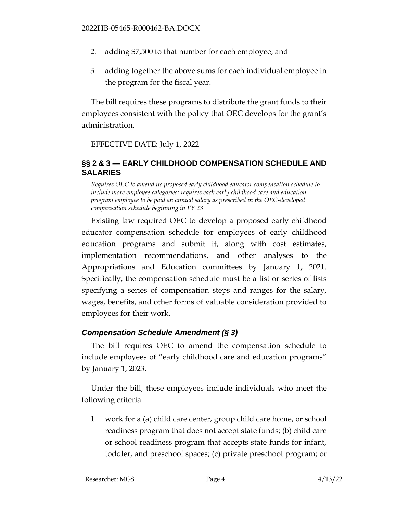- 2. adding \$7,500 to that number for each employee; and
- 3. adding together the above sums for each individual employee in the program for the fiscal year.

The bill requires these programs to distribute the grant funds to their employees consistent with the policy that OEC develops for the grant's administration.

### EFFECTIVE DATE: July 1, 2022

### <span id="page-3-0"></span>**§§ 2 & 3 — EARLY CHILDHOOD COMPENSATION SCHEDULE AND SALARIES**

*Requires OEC to amend its proposed early childhood educator compensation schedule to include more employee categories; requires each early childhood care and education program employee to be paid an annual salary as prescribed in the OEC-developed compensation schedule beginning in FY 23*

Existing law required OEC to develop a proposed early childhood educator compensation schedule for employees of early childhood education programs and submit it, along with cost estimates, implementation recommendations, and other analyses to the Appropriations and Education committees by January 1, 2021. Specifically, the compensation schedule must be a list or series of lists specifying a series of compensation steps and ranges for the salary, wages, benefits, and other forms of valuable consideration provided to employees for their work.

## *Compensation Schedule Amendment (§ 3)*

The bill requires OEC to amend the compensation schedule to include employees of "early childhood care and education programs" by January 1, 2023.

Under the bill, these employees include individuals who meet the following criteria:

1. work for a (a) child care center, group child care home, or school readiness program that does not accept state funds; (b) child care or school readiness program that accepts state funds for infant, toddler, and preschool spaces; (c) private preschool program; or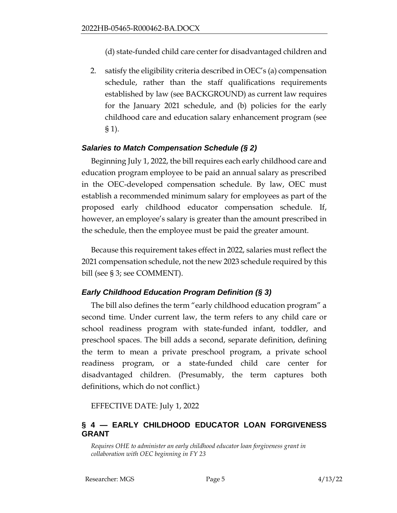- (d) state-funded child care center for disadvantaged children and
- 2. satisfy the eligibility criteria described in OEC's (a) compensation schedule, rather than the staff qualifications requirements established by law (see BACKGROUND) as current law requires for the January 2021 schedule, and (b) policies for the early childhood care and education salary enhancement program (see § 1).

## *Salaries to Match Compensation Schedule (§ 2)*

Beginning July 1, 2022, the bill requires each early childhood care and education program employee to be paid an annual salary as prescribed in the OEC-developed compensation schedule. By law, OEC must establish a recommended minimum salary for employees as part of the proposed early childhood educator compensation schedule. If, however, an employee's salary is greater than the amount prescribed in the schedule, then the employee must be paid the greater amount.

Because this requirement takes effect in 2022, salaries must reflect the 2021 compensation schedule, not the new 2023 schedule required by this bill (see § 3; see COMMENT).

## *Early Childhood Education Program Definition (§ 3)*

The bill also defines the term "early childhood education program" a second time. Under current law, the term refers to any child care or school readiness program with state-funded infant, toddler, and preschool spaces. The bill adds a second, separate definition, defining the term to mean a private preschool program, a private school readiness program, or a state-funded child care center for disadvantaged children. (Presumably, the term captures both definitions, which do not conflict.)

EFFECTIVE DATE: July 1, 2022

# <span id="page-4-0"></span>**§ 4 — EARLY CHILDHOOD EDUCATOR LOAN FORGIVENESS GRANT**

*Requires OHE to administer an early childhood educator loan forgiveness grant in collaboration with OEC beginning in FY 23*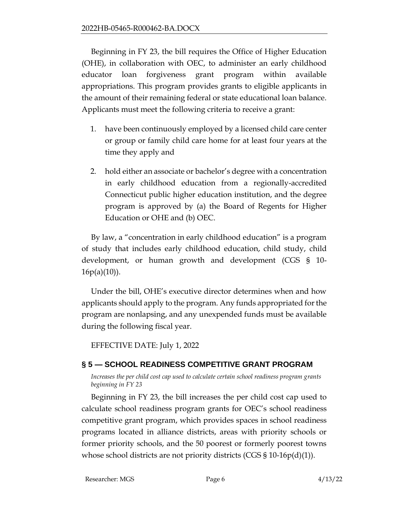Beginning in FY 23, the bill requires the Office of Higher Education (OHE), in collaboration with OEC, to administer an early childhood educator loan forgiveness grant program within available appropriations. This program provides grants to eligible applicants in the amount of their remaining federal or state educational loan balance. Applicants must meet the following criteria to receive a grant:

- 1. have been continuously employed by a licensed child care center or group or family child care home for at least four years at the time they apply and
- 2. hold either an associate or bachelor's degree with a concentration in early childhood education from a regionally-accredited Connecticut public higher education institution, and the degree program is approved by (a) the Board of Regents for Higher Education or OHE and (b) OEC.

By law, a "concentration in early childhood education" is a program of study that includes early childhood education, child study, child development, or human growth and development (CGS § 10-  $16p(a)(10)$ ).

Under the bill, OHE's executive director determines when and how applicants should apply to the program. Any funds appropriated for the program are nonlapsing, and any unexpended funds must be available during the following fiscal year.

EFFECTIVE DATE: July 1, 2022

# <span id="page-5-0"></span>**§ 5 — SCHOOL READINESS COMPETITIVE GRANT PROGRAM**

*Increases the per child cost cap used to calculate certain school readiness program grants beginning in FY 23*

Beginning in FY 23, the bill increases the per child cost cap used to calculate school readiness program grants for OEC's school readiness competitive grant program, which provides spaces in school readiness programs located in alliance districts, areas with priority schools or former priority schools, and the 50 poorest or formerly poorest towns whose school districts are not priority districts (CGS § 10-16 $p(d)(1)$ ).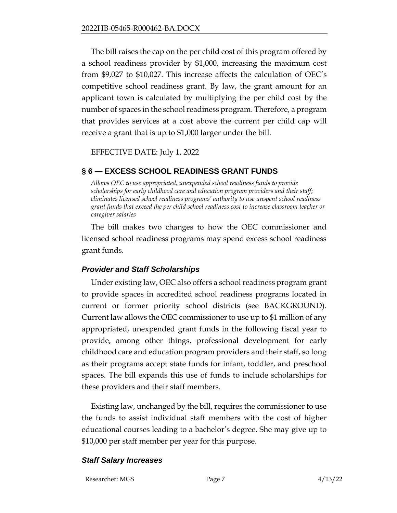The bill raises the cap on the per child cost of this program offered by a school readiness provider by \$1,000, increasing the maximum cost from \$9,027 to \$10,027. This increase affects the calculation of OEC's competitive school readiness grant. By law, the grant amount for an applicant town is calculated by multiplying the per child cost by the number of spaces in the school readiness program. Therefore, a program that provides services at a cost above the current per child cap will receive a grant that is up to \$1,000 larger under the bill.

EFFECTIVE DATE: July 1, 2022

## <span id="page-6-0"></span>**§ 6 — EXCESS SCHOOL READINESS GRANT FUNDS**

*Allows OEC to use appropriated, unexpended school readiness funds to provide scholarships for early childhood care and education program providers and their staff; eliminates licensed school readiness programs' authority to use unspent school readiness grant funds that exceed the per child school readiness cost to increase classroom teacher or caregiver salaries*

The bill makes two changes to how the OEC commissioner and licensed school readiness programs may spend excess school readiness grant funds.

## *Provider and Staff Scholarships*

Under existing law, OEC also offers a school readiness program grant to provide spaces in accredited school readiness programs located in current or former priority school districts (see BACKGROUND). Current law allows the OEC commissioner to use up to \$1 million of any appropriated, unexpended grant funds in the following fiscal year to provide, among other things, professional development for early childhood care and education program providers and their staff, so long as their programs accept state funds for infant, toddler, and preschool spaces. The bill expands this use of funds to include scholarships for these providers and their staff members.

Existing law, unchanged by the bill, requires the commissioner to use the funds to assist individual staff members with the cost of higher educational courses leading to a bachelor's degree. She may give up to \$10,000 per staff member per year for this purpose.

### *Staff Salary Increases*

Researcher: MGS Page 7 4/13/22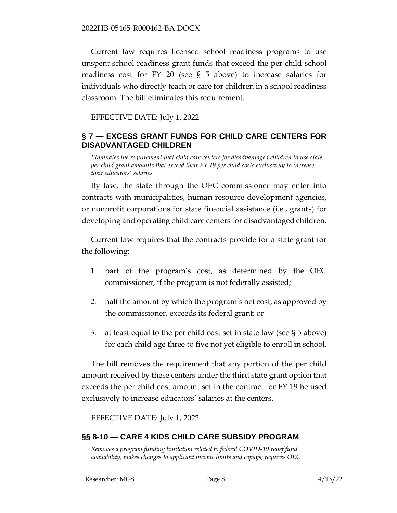Current law requires licensed school readiness programs to use unspent school readiness grant funds that exceed the per child school readiness cost for FY 20 (see § 5 above) to increase salaries for individuals who directly teach or care for children in a school readiness classroom. The bill eliminates this requirement.

EFFECTIVE DATE: July 1, 2022

## <span id="page-7-0"></span>**§ 7 — EXCESS GRANT FUNDS FOR CHILD CARE CENTERS FOR DISADVANTAGED CHILDREN**

*Eliminates the requirement that child care centers for disadvantaged children to use state per child grant amounts that exceed their FY 19 per child costs exclusively to increase their educators' salaries*

By law, the state through the OEC commissioner may enter into contracts with municipalities, human resource development agencies, or nonprofit corporations for state financial assistance (i.e., grants) for developing and operating child care centers for disadvantaged children.

Current law requires that the contracts provide for a state grant for the following:

- 1. part of the program's cost, as determined by the OEC commissioner, if the program is not federally assisted;
- 2. half the amount by which the program's net cost, as approved by the commissioner, exceeds its federal grant; or
- 3. at least equal to the per child cost set in state law (see § 5 above) for each child age three to five not yet eligible to enroll in school.

The bill removes the requirement that any portion of the per child amount received by these centers under the third state grant option that exceeds the per child cost amount set in the contract for FY 19 be used exclusively to increase educators' salaries at the centers.

EFFECTIVE DATE: July 1, 2022

# <span id="page-7-1"></span>**§§ 8-10 — CARE 4 KIDS CHILD CARE SUBSIDY PROGRAM**

*Removes a program funding limitation related to federal COVID-19 relief fund availability; makes changes to applicant income limits and copays; requires OEC*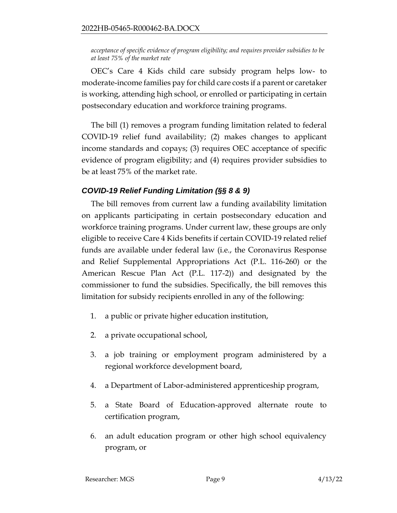*acceptance of specific evidence of program eligibility; and requires provider subsidies to be at least 75% of the market rate*

OEC's Care 4 Kids child care subsidy program helps low- to moderate-income families pay for child care costs if a parent or caretaker is working, attending high school, or enrolled or participating in certain postsecondary education and workforce training programs.

The bill (1) removes a program funding limitation related to federal COVID-19 relief fund availability; (2) makes changes to applicant income standards and copays; (3) requires OEC acceptance of specific evidence of program eligibility; and (4) requires provider subsidies to be at least 75% of the market rate.

## *COVID-19 Relief Funding Limitation (§§ 8 & 9)*

The bill removes from current law a funding availability limitation on applicants participating in certain postsecondary education and workforce training programs. Under current law, these groups are only eligible to receive Care 4 Kids benefits if certain COVID-19 related relief funds are available under federal law (i.e., the Coronavirus Response and Relief Supplemental Appropriations Act (P.L. 116-260) or the American Rescue Plan Act (P.L. 117-2)) and designated by the commissioner to fund the subsidies. Specifically, the bill removes this limitation for subsidy recipients enrolled in any of the following:

- 1. a public or private higher education institution,
- 2. a private occupational school,
- 3. a job training or employment program administered by a regional workforce development board,
- 4. a Department of Labor-administered apprenticeship program,
- 5. a State Board of Education-approved alternate route to certification program,
- 6. an adult education program or other high school equivalency program, or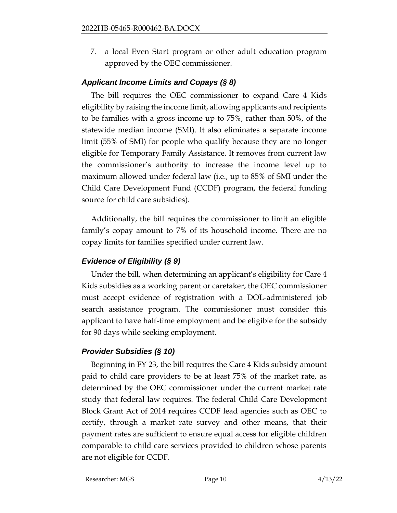7. a local Even Start program or other adult education program approved by the OEC commissioner.

## *Applicant Income Limits and Copays (§ 8)*

The bill requires the OEC commissioner to expand Care 4 Kids eligibility by raising the income limit, allowing applicants and recipients to be families with a gross income up to 75%, rather than 50%, of the statewide median income (SMI). It also eliminates a separate income limit (55% of SMI) for people who qualify because they are no longer eligible for Temporary Family Assistance. It removes from current law the commissioner's authority to increase the income level up to maximum allowed under federal law (i.e., up to 85% of SMI under the Child Care Development Fund (CCDF) program, the federal funding source for child care subsidies).

Additionally, the bill requires the commissioner to limit an eligible family's copay amount to 7% of its household income. There are no copay limits for families specified under current law.

# *Evidence of Eligibility (§ 9)*

Under the bill, when determining an applicant's eligibility for Care 4 Kids subsidies as a working parent or caretaker, the OEC commissioner must accept evidence of registration with a DOL-administered job search assistance program. The commissioner must consider this applicant to have half-time employment and be eligible for the subsidy for 90 days while seeking employment.

# *Provider Subsidies (§ 10)*

Beginning in FY 23, the bill requires the Care 4 Kids subsidy amount paid to child care providers to be at least 75% of the market rate, as determined by the OEC commissioner under the current market rate study that federal law requires. The federal Child Care Development Block Grant Act of 2014 requires CCDF lead agencies such as OEC to certify, through a market rate survey and other means, that their payment rates are sufficient to ensure equal access for eligible children comparable to child care services provided to children whose parents are not eligible for CCDF.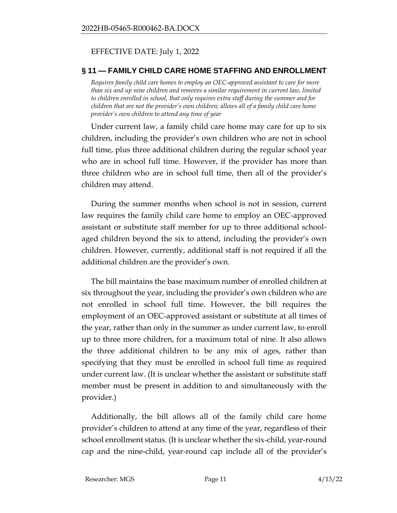### EFFECTIVE DATE: July 1, 2022

### <span id="page-10-0"></span>**§ 11 — FAMILY CHILD CARE HOME STAFFING AND ENROLLMENT**

*Requires family child care homes to employ an OEC-approved assistant to care for more than six and up nine children and removes a similar requirement in current law, limited to children enrolled in school, that only requires extra staff during the summer and for children that are not the provider's own children; allows all of a family child care home provider's own children to attend any time of year* 

Under current law, a family child care home may care for up to six children, including the provider's own children who are not in school full time, plus three additional children during the regular school year who are in school full time. However, if the provider has more than three children who are in school full time, then all of the provider's children may attend.

During the summer months when school is not in session, current law requires the family child care home to employ an OEC-approved assistant or substitute staff member for up to three additional schoolaged children beyond the six to attend, including the provider's own children. However, currently, additional staff is not required if all the additional children are the provider's own.

The bill maintains the base maximum number of enrolled children at six throughout the year, including the provider's own children who are not enrolled in school full time. However, the bill requires the employment of an OEC-approved assistant or substitute at all times of the year, rather than only in the summer as under current law, to enroll up to three more children, for a maximum total of nine. It also allows the three additional children to be any mix of ages, rather than specifying that they must be enrolled in school full time as required under current law. (It is unclear whether the assistant or substitute staff member must be present in addition to and simultaneously with the provider.)

Additionally, the bill allows all of the family child care home provider's children to attend at any time of the year, regardless of their school enrollment status. (It is unclear whether the six-child, year-round cap and the nine-child, year-round cap include all of the provider's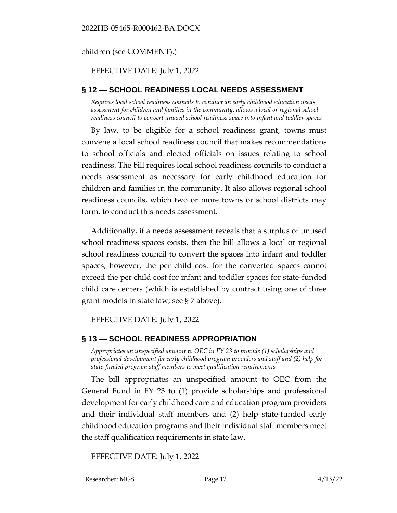children (see COMMENT).)

### EFFECTIVE DATE: July 1, 2022

### <span id="page-11-0"></span>**§ 12 — SCHOOL READINESS LOCAL NEEDS ASSESSMENT**

*Requires local school readiness councils to conduct an early childhood education needs assessment for children and families in the community; allows a local or regional school readiness council to convert unused school readiness space into infant and toddler spaces*

By law, to be eligible for a school readiness grant, towns must convene a local school readiness council that makes recommendations to school officials and elected officials on issues relating to school readiness. The bill requires local school readiness councils to conduct a needs assessment as necessary for early childhood education for children and families in the community. It also allows regional school readiness councils, which two or more towns or school districts may form, to conduct this needs assessment.

Additionally, if a needs assessment reveals that a surplus of unused school readiness spaces exists, then the bill allows a local or regional school readiness council to convert the spaces into infant and toddler spaces; however, the per child cost for the converted spaces cannot exceed the per child cost for infant and toddler spaces for state-funded child care centers (which is established by contract using one of three grant models in state law; see § 7 above).

EFFECTIVE DATE: July 1, 2022

## <span id="page-11-1"></span>**§ 13 — SCHOOL READINESS APPROPRIATION**

*Appropriates an unspecified amount to OEC in FY 23 to provide (1) scholarships and professional development for early childhood program providers and staff and (2) help for state-funded program staff members to meet qualification requirements*

The bill appropriates an unspecified amount to OEC from the General Fund in FY 23 to (1) provide scholarships and professional development for early childhood care and education program providers and their individual staff members and (2) help state-funded early childhood education programs and their individual staff members meet the staff qualification requirements in state law.

EFFECTIVE DATE: July 1, 2022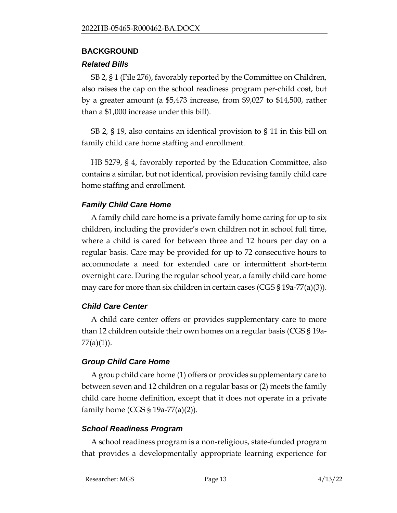### <span id="page-12-0"></span>**BACKGROUND**

## *Related Bills*

SB 2, § 1 (File 276), favorably reported by the Committee on Children, also raises the cap on the school readiness program per-child cost, but by a greater amount (a \$5,473 increase, from \$9,027 to \$14,500, rather than a \$1,000 increase under this bill).

SB 2, § 19, also contains an identical provision to § 11 in this bill on family child care home staffing and enrollment.

HB 5279, § 4, favorably reported by the Education Committee, also contains a similar, but not identical, provision revising family child care home staffing and enrollment.

# *Family Child Care Home*

A family child care home is a private family home caring for up to six children, including the provider's own children not in school full time, where a child is cared for between three and 12 hours per day on a regular basis. Care may be provided for up to 72 consecutive hours to accommodate a need for extended care or intermittent short-term overnight care. During the regular school year, a family child care home may care for more than six children in certain cases (CGS § 19a-77(a)(3)).

# *Child Care Center*

A child care center offers or provides supplementary care to more than 12 children outside their own homes on a regular basis (CGS § 19a-77(a)(1)).

# *Group Child Care Home*

A group child care home (1) offers or provides supplementary care to between seven and 12 children on a regular basis or (2) meets the family child care home definition, except that it does not operate in a private family home (CGS § 19a-77(a)(2)).

# *School Readiness Program*

A school readiness program is a non-religious, state-funded program that provides a developmentally appropriate learning experience for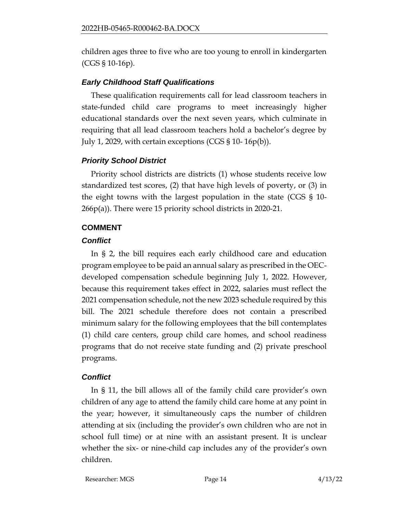children ages three to five who are too young to enroll in kindergarten (CGS § 10-16p).

## *Early Childhood Staff Qualifications*

These qualification requirements call for lead classroom teachers in state-funded child care programs to meet increasingly higher educational standards over the next seven years, which culminate in requiring that all lead classroom teachers hold a bachelor's degree by July 1, 2029, with certain exceptions (CGS § 10- 16p(b)).

## *Priority School District*

Priority school districts are districts (1) whose students receive low standardized test scores, (2) that have high levels of poverty, or (3) in the eight towns with the largest population in the state (CGS § 10- 266p(a)). There were 15 priority school districts in 2020-21.

# <span id="page-13-0"></span>**COMMENT**

## *Conflict*

In § 2, the bill requires each early childhood care and education program employee to be paid an annual salary as prescribed in the OECdeveloped compensation schedule beginning July 1, 2022. However, because this requirement takes effect in 2022, salaries must reflect the 2021 compensation schedule, not the new 2023 schedule required by this bill. The 2021 schedule therefore does not contain a prescribed minimum salary for the following employees that the bill contemplates (1) child care centers, group child care homes, and school readiness programs that do not receive state funding and (2) private preschool programs.

# *Conflict*

In § 11, the bill allows all of the family child care provider's own children of any age to attend the family child care home at any point in the year; however, it simultaneously caps the number of children attending at six (including the provider's own children who are not in school full time) or at nine with an assistant present. It is unclear whether the six- or nine-child cap includes any of the provider's own children.